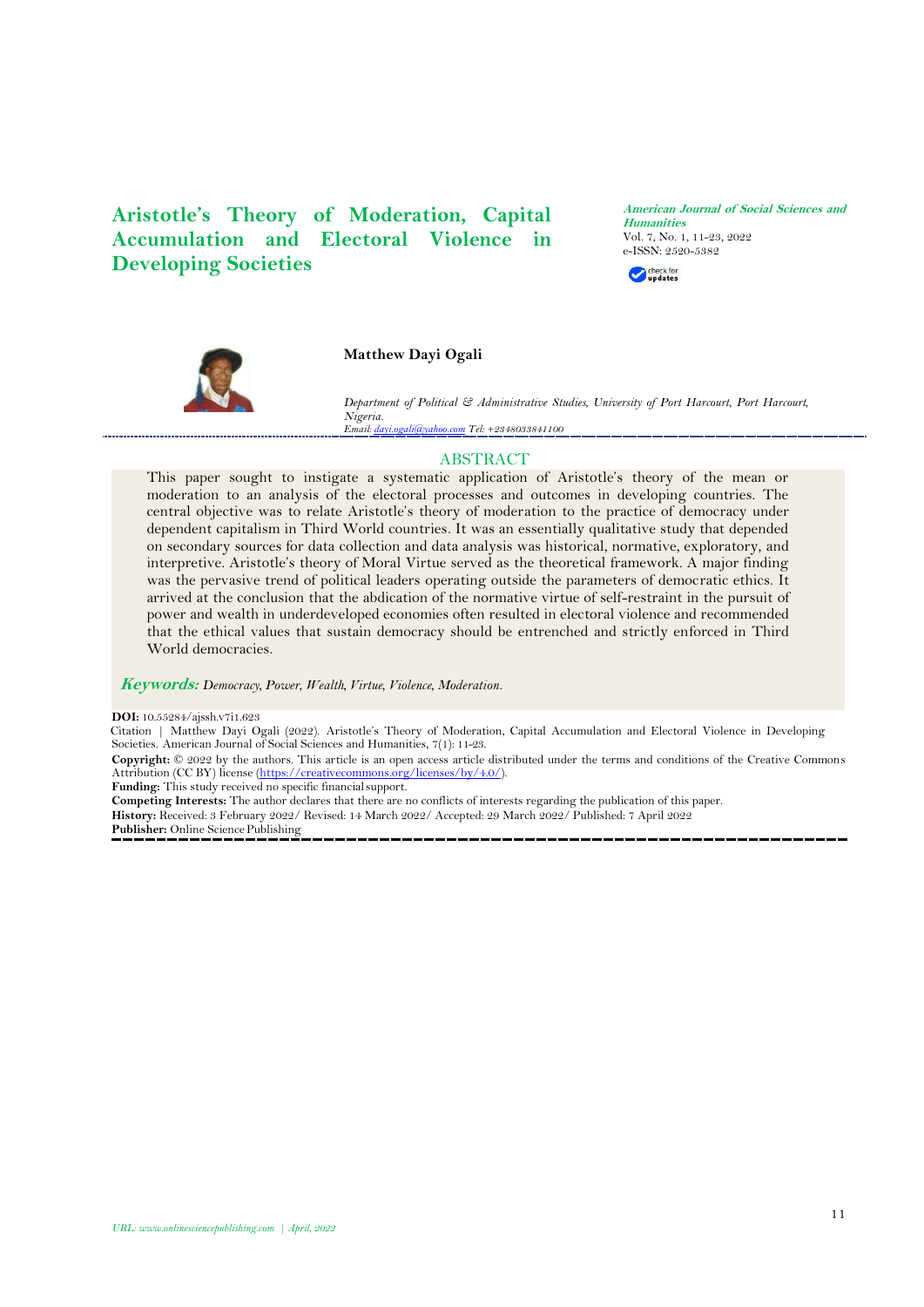**Aristotle's Theory of Moderation, Capital Accumulation and Electoral Violence in Developing Societies**

**American Journal of Social Sciences and Humanities** Vol. 7, No. 1, 11-23, 2022 [e-ISSN: 252](https://www.doi.org/10.55284/ajssh.v7i1.623)0-5382 check for



**Matthew Dayi Ogali**

*Department of Political & Administrative Studies, University of Port Harcourt, Port Harcourt, Nigeria. Email[: dayi.ogali@yahoo.com](mailto:dayi.ogali@yahoo.com) Tel: +2348033841100*

# ABSTRACT

This paper sought to instigate a systematic application of Aristotle's theory of the mean or moderation to an analysis of the electoral processes and outcomes in developing countries. The central objective was to relate Aristotle's theory of moderation to the practice of democracy under dependent capitalism in Third World countries. It was an essentially qualitative study that depended on secondary sources for data collection and data analysis was historical, normative, exploratory, and interpretive. Aristotle's theory of Moral Virtue served as the theoretical framework. A major finding was the pervasive trend of political leaders operating outside the parameters of democratic ethics. It arrived at the conclusion that the abdication of the normative virtue of self-restraint in the pursuit of power and wealth in underdeveloped economies often resulted in electoral violence and recommended that the ethical values that sustain democracy should be entrenched and strictly enforced in Third World democracies.

**Keywords:** *Democracy, Power, Wealth, Virtue, Violence, Moderation.*

**DOI:** 10.55284/aissh.v7i1.623

Citation | Matthew Dayi Ogali (2022). Aristotle's Theory of Moderation, Capital Accumulation and Electoral Violence in Developing Societies. American Journal of Social Sciences and Humanities, 7(1): 11-23.

**Copyright:** © 2022 by the authors. This article is an open access article distributed under the terms and conditions of the Creative Commons Attribution (CC BY) license [\(https://creativecommons.org/licenses/by/4.0/\)](https://creativecommons.org/licenses/by/4.0/).

**Funding:** This study received no specific financialsupport.

**Competing Interests:** The author declares that there are no conflicts of interests regarding the publication of this paper.

**History:** Received: 3 February 2022/ Revised: 14 March 2022/ Accepted: 29 March 2022/ Published: 7 April 2022

Publisher: Online Science Publishing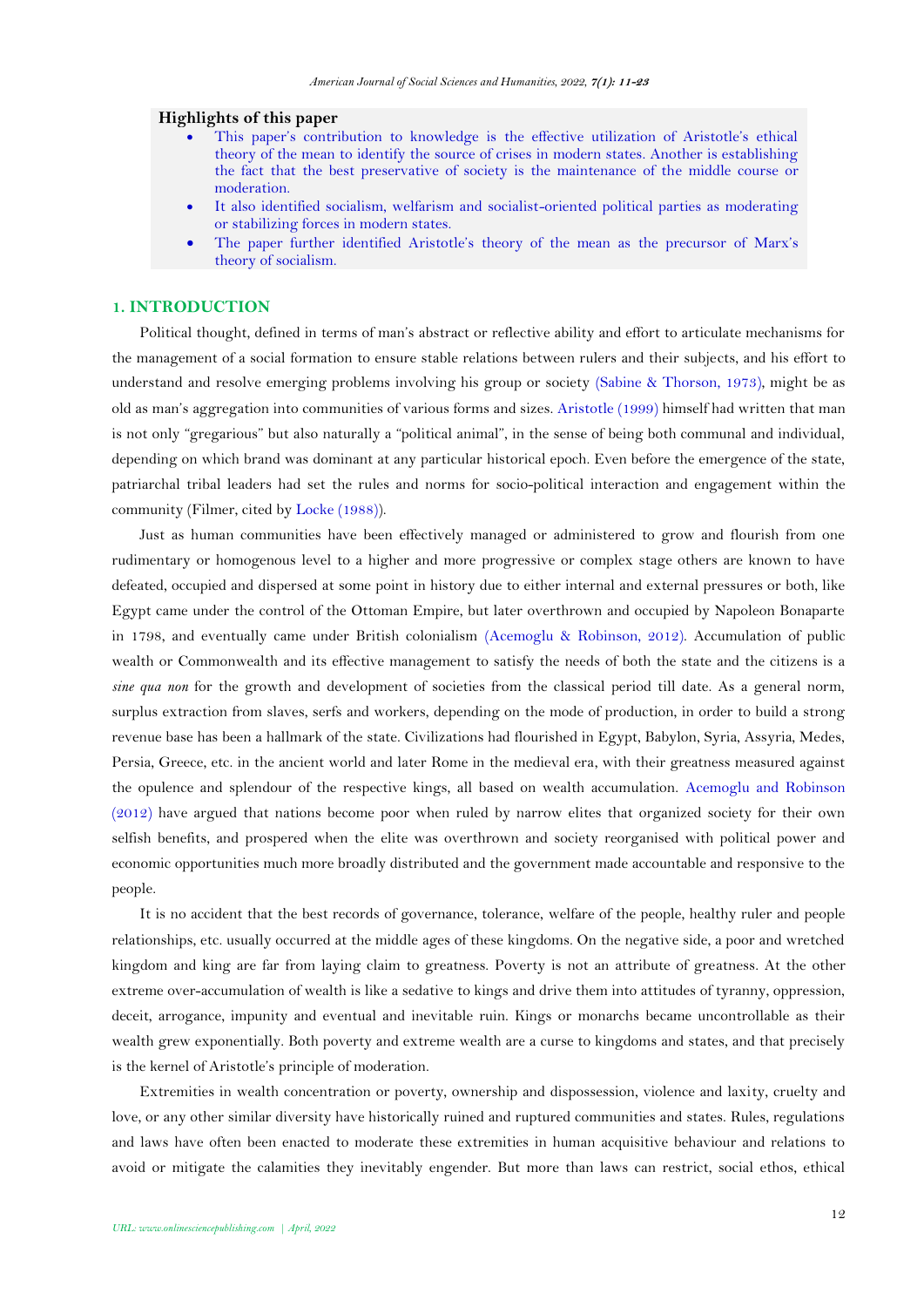### **Highlights of this paper**

- This paper's contribution to knowledge is the effective utilization of Aristotle's ethical theory of the mean to identify the source of crises in modern states. Another is establishing the fact that the best preservative of society is the maintenance of the middle course or moderation.
- It also identified socialism, welfarism and socialist-oriented political parties as moderating or stabilizing forces in modern states.
- The paper further identified Aristotle's theory of the mean as the precursor of Marx's theory of socialism.

# **1. INTRODUCTION**

Political thought, defined in terms of man's abstract or reflective ability and effort to articulate mechanisms for the management of a social formation to ensure stable relations between rulers and their subjects, and his effort to understand and resolve emerging problems involving his group or society [\(Sabine & Thorson, 1973\)](#page-12-0), might be as old as man's aggregation into communities of various forms and sizes. [Aristotle \(1999\)](#page-11-0) himself had written that man is not only "gregarious" but also naturally a "political animal", in the sense of being both communal and individual, depending on which brand was dominant at any particular historical epoch. Even before the emergence of the state, patriarchal tribal leaders had set the rules and norms for socio-political interaction and engagement within the community (Filmer, cited b[y Locke \(1988\)](#page-12-1)).

Just as human communities have been effectively managed or administered to grow and flourish from one rudimentary or homogenous level to a higher and more progressive or complex stage others are known to have defeated, occupied and dispersed at some point in history due to either internal and external pressures or both, like Egypt came under the control of the Ottoman Empire, but later overthrown and occupied by Napoleon Bonaparte in 1798, and eventually came under British colonialism [\(Acemoglu & Robinson, 2012\)](#page-11-1). Accumulation of public wealth or Commonwealth and its effective management to satisfy the needs of both the state and the citizens is a *sine qua non* for the growth and development of societies from the classical period till date. As a general norm, surplus extraction from slaves, serfs and workers, depending on the mode of production, in order to build a strong revenue base has been a hallmark of the state. Civilizations had flourished in Egypt, Babylon, Syria, Assyria, Medes, Persia, Greece, etc. in the ancient world and later Rome in the medieval era, with their greatness measured against the opulence and splendour of the respective kings, all based on wealth accumulation. [Acemoglu and Robinson](#page-11-1)  [\(2012\)](#page-11-1) have argued that nations become poor when ruled by narrow elites that organized society for their own selfish benefits, and prospered when the elite was overthrown and society reorganised with political power and economic opportunities much more broadly distributed and the government made accountable and responsive to the people.

It is no accident that the best records of governance, tolerance, welfare of the people, healthy ruler and people relationships, etc. usually occurred at the middle ages of these kingdoms. On the negative side, a poor and wretched kingdom and king are far from laying claim to greatness. Poverty is not an attribute of greatness. At the other extreme over-accumulation of wealth is like a sedative to kings and drive them into attitudes of tyranny, oppression, deceit, arrogance, impunity and eventual and inevitable ruin. Kings or monarchs became uncontrollable as their wealth grew exponentially. Both poverty and extreme wealth are a curse to kingdoms and states, and that precisely is the kernel of Aristotle's principle of moderation.

Extremities in wealth concentration or poverty, ownership and dispossession, violence and laxity, cruelty and love, or any other similar diversity have historically ruined and ruptured communities and states. Rules, regulations and laws have often been enacted to moderate these extremities in human acquisitive behaviour and relations to avoid or mitigate the calamities they inevitably engender. But more than laws can restrict, social ethos, ethical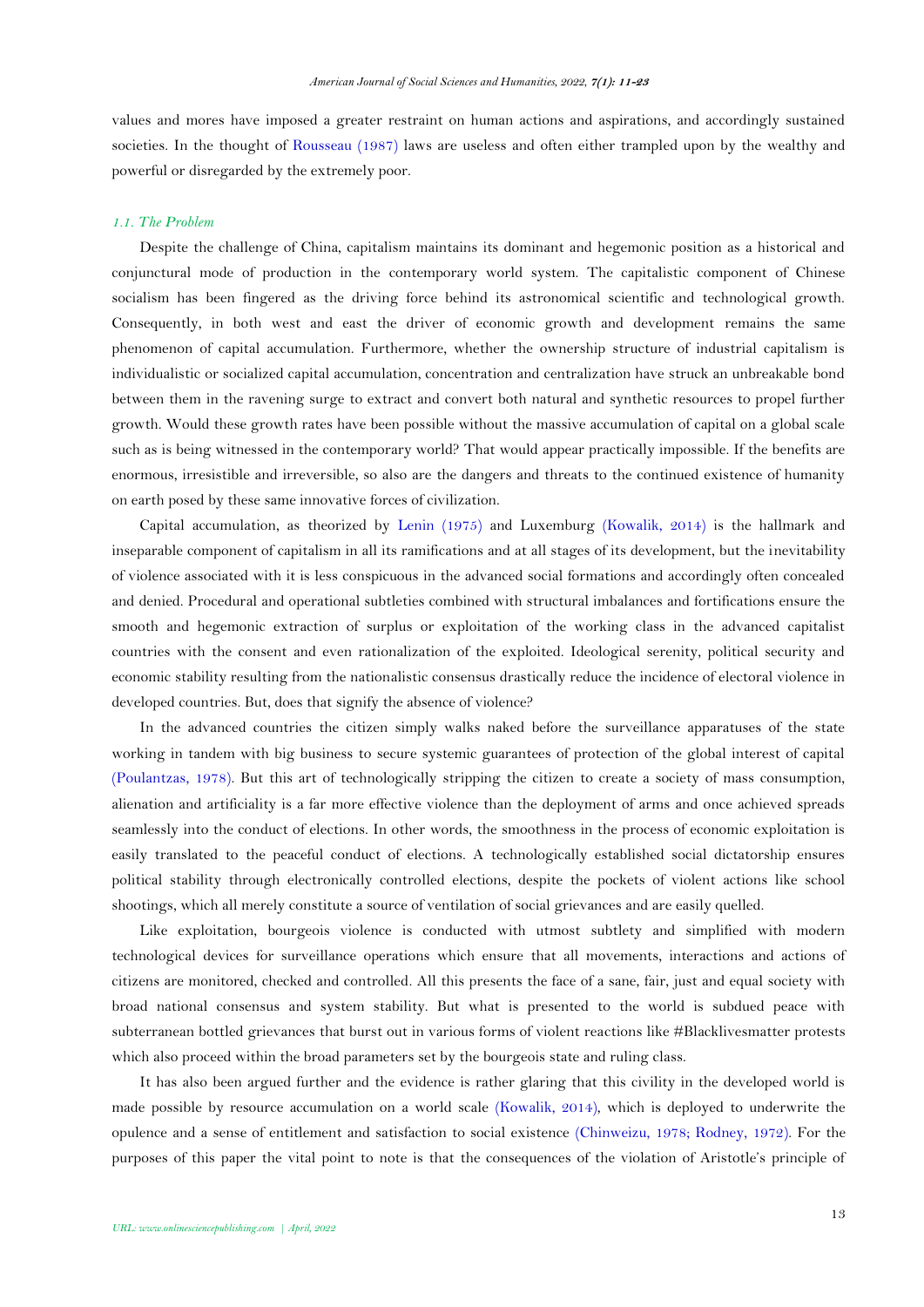values and mores have imposed a greater restraint on human actions and aspirations, and accordingly sustained societies. In the thought of [Rousseau \(1987\)](#page-12-2) laws are useless and often either trampled upon by the wealthy and powerful or disregarded by the extremely poor.

#### *1.1. The Problem*

Despite the challenge of China, capitalism maintains its dominant and hegemonic position as a historical and conjunctural mode of production in the contemporary world system. The capitalistic component of Chinese socialism has been fingered as the driving force behind its astronomical scientific and technological growth. Consequently, in both west and east the driver of economic growth and development remains the same phenomenon of capital accumulation. Furthermore, whether the ownership structure of industrial capitalism is individualistic or socialized capital accumulation, concentration and centralization have struck an unbreakable bond between them in the ravening surge to extract and convert both natural and synthetic resources to propel further growth. Would these growth rates have been possible without the massive accumulation of capital on a global scale such as is being witnessed in the contemporary world? That would appear practically impossible. If the benefits are enormous, irresistible and irreversible, so also are the dangers and threats to the continued existence of humanity on earth posed by these same innovative forces of civilization.

Capital accumulation, as theorized by [Lenin \(1975\)](#page-12-3) and Luxemburg [\(Kowalik, 2014\)](#page-12-4) is the hallmark and inseparable component of capitalism in all its ramifications and at all stages of its development, but the inevitability of violence associated with it is less conspicuous in the advanced social formations and accordingly often concealed and denied. Procedural and operational subtleties combined with structural imbalances and fortifications ensure the smooth and hegemonic extraction of surplus or exploitation of the working class in the advanced capitalist countries with the consent and even rationalization of the exploited. Ideological serenity, political security and economic stability resulting from the nationalistic consensus drastically reduce the incidence of electoral violence in developed countries. But, does that signify the absence of violence?

In the advanced countries the citizen simply walks naked before the surveillance apparatuses of the state working in tandem with big business to secure systemic guarantees of protection of the global interest of capital [\(Poulantzas, 1978\)](#page-12-5). But this art of technologically stripping the citizen to create a society of mass consumption, alienation and artificiality is a far more effective violence than the deployment of arms and once achieved spreads seamlessly into the conduct of elections. In other words, the smoothness in the process of economic exploitation is easily translated to the peaceful conduct of elections. A technologically established social dictatorship ensures political stability through electronically controlled elections, despite the pockets of violent actions like school shootings, which all merely constitute a source of ventilation of social grievances and are easily quelled.

Like exploitation, bourgeois violence is conducted with utmost subtlety and simplified with modern technological devices for surveillance operations which ensure that all movements, interactions and actions of citizens are monitored, checked and controlled. All this presents the face of a sane, fair, just and equal society with broad national consensus and system stability. But what is presented to the world is subdued peace with subterranean bottled grievances that burst out in various forms of violent reactions like #Blacklivesmatter protests which also proceed within the broad parameters set by the bourgeois state and ruling class.

It has also been argued further and the evidence is rather glaring that this civility in the developed world is made possible by resource accumulation on a world scale [\(Kowalik, 2014\)](#page-12-4), which is deployed to underwrite the opulence and a sense of entitlement and satisfaction to social existence [\(Chinweizu, 1978;](#page-12-6) [Rodney, 1972\)](#page-12-7). For the purposes of this paper the vital point to note is that the consequences of the violation of Aristotle's principle of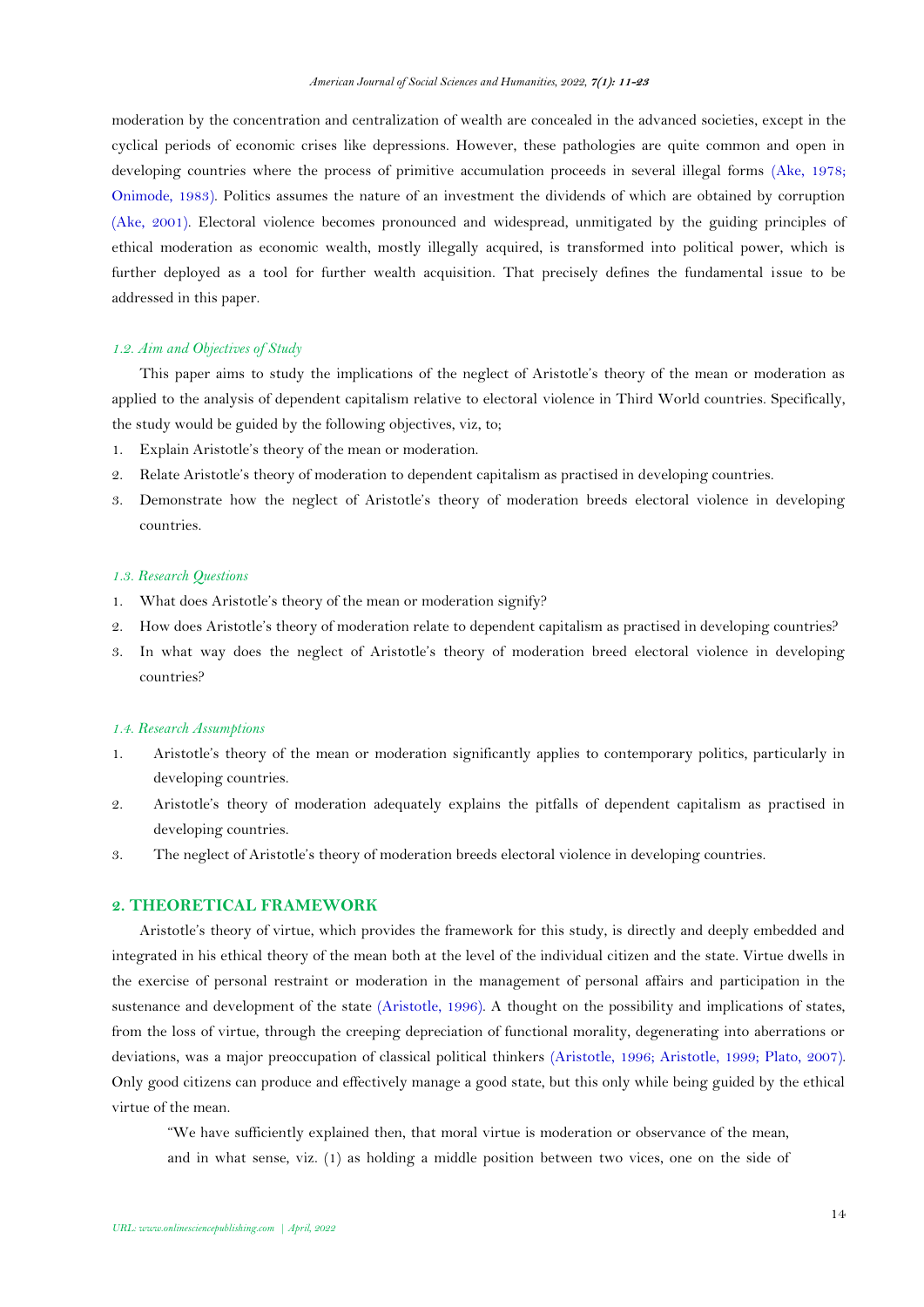moderation by the concentration and centralization of wealth are concealed in the advanced societies, except in the cyclical periods of economic crises like depressions. However, these pathologies are quite common and open in developing countries where the process of primitive accumulation proceeds in several illegal forms [\(Ake, 1978;](#page-11-2) [Onimode, 1983\)](#page-12-8). Politics assumes the nature of an investment the dividends of which are obtained by corruption (Ake, [2001\)](#page-11-3). Electoral violence becomes pronounced and widespread, unmitigated by the guiding principles of ethical moderation as economic wealth, mostly illegally acquired, is transformed into political power, which is further deployed as a tool for further wealth acquisition. That precisely defines the fundamental issue to be addressed in this paper.

# *1.2. Aim and Objectives of Study*

This paper aims to study the implications of the neglect of Aristotle's theory of the mean or moderation as applied to the analysis of dependent capitalism relative to electoral violence in Third World countries. Specifically, the study would be guided by the following objectives, viz, to;

- 1. Explain Aristotle's theory of the mean or moderation.
- 2. Relate Aristotle's theory of moderation to dependent capitalism as practised in developing countries.
- 3. Demonstrate how the neglect of Aristotle's theory of moderation breeds electoral violence in developing countries.

#### *1.3. Research Questions*

- 1. What does Aristotle's theory of the mean or moderation signify?
- 2. How does Aristotle's theory of moderation relate to dependent capitalism as practised in developing countries?
- 3. In what way does the neglect of Aristotle's theory of moderation breed electoral violence in developing countries?

### *1.4. Research Assumptions*

- 1. Aristotle's theory of the mean or moderation significantly applies to contemporary politics, particularly in developing countries.
- 2. Aristotle's theory of moderation adequately explains the pitfalls of dependent capitalism as practised in developing countries.
- 3. The neglect of Aristotle's theory of moderation breeds electoral violence in developing countries.

## **2. THEORETICAL FRAMEWORK**

Aristotle's theory of virtue, which provides the framework for this study, is directly and deeply embedded and integrated in his ethical theory of the mean both at the level of the individual citizen and the state. Virtue dwells in the exercise of personal restraint or moderation in the management of personal affairs and participation in the sustenance and development of the state [\(Aristotle, 1996\)](#page-11-4). A thought on the possibility and implications of states, from the loss of virtue, through the creeping depreciation of functional morality, degenerating into aberrations or deviations, was a major preoccupation of classical political thinkers [\(Aristotle, 1996;](#page-11-4) [Aristotle, 1999;](#page-11-0) [Plato, 2007\)](#page-12-9). Only good citizens can produce and effectively manage a good state, but this only while being guided by the ethical virtue of the mean.

"We have sufficiently explained then, that moral virtue is moderation or observance of the mean, and in what sense, viz. (1) as holding a middle position between two vices, one on the side of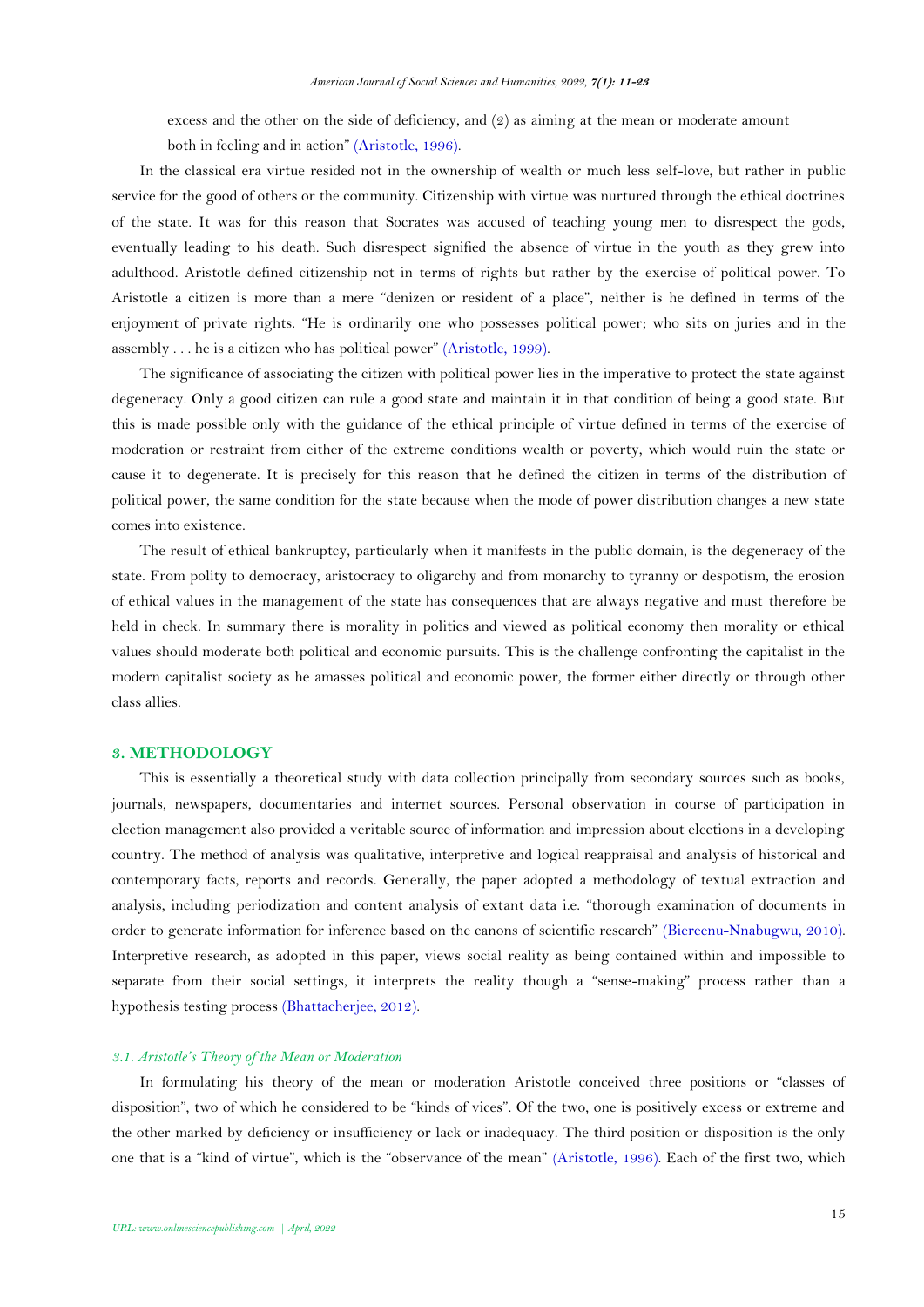excess and the other on the side of deficiency, and (2) as aiming at the mean or moderate amount

both in feeling and in action" [\(Aristotle, 1996\)](#page-11-4).

In the classical era virtue resided not in the ownership of wealth or much less self-love, but rather in public service for the good of others or the community. Citizenship with virtue was nurtured through the ethical doctrines of the state. It was for this reason that Socrates was accused of teaching young men to disrespect the gods, eventually leading to his death. Such disrespect signified the absence of virtue in the youth as they grew into adulthood. Aristotle defined citizenship not in terms of rights but rather by the exercise of political power. To Aristotle a citizen is more than a mere "denizen or resident of a place", neither is he defined in terms of the enjoyment of private rights. "He is ordinarily one who possesses political power; who sits on juries and in the assembly . . . he is a citizen who has political power" [\(Aristotle, 1999\)](#page-11-0).

The significance of associating the citizen with political power lies in the imperative to protect the state against degeneracy. Only a good citizen can rule a good state and maintain it in that condition of being a good state. But this is made possible only with the guidance of the ethical principle of virtue defined in terms of the exercise of moderation or restraint from either of the extreme conditions wealth or poverty, which would ruin the state or cause it to degenerate. It is precisely for this reason that he defined the citizen in terms of the distribution of political power, the same condition for the state because when the mode of power distribution changes a new state comes into existence.

The result of ethical bankruptcy, particularly when it manifests in the public domain, is the degeneracy of the state. From polity to democracy, aristocracy to oligarchy and from monarchy to tyranny or despotism, the erosion of ethical values in the management of the state has consequences that are always negative and must therefore be held in check. In summary there is morality in politics and viewed as political economy then morality or ethical values should moderate both political and economic pursuits. This is the challenge confronting the capitalist in the modern capitalist society as he amasses political and economic power, the former either directly or through other class allies.

## **3. METHODOLOGY**

This is essentially a theoretical study with data collection principally from secondary sources such as books, journals, newspapers, documentaries and internet sources. Personal observation in course of participation in election management also provided a veritable source of information and impression about elections in a developing country. The method of analysis was qualitative, interpretive and logical reappraisal and analysis of historical and contemporary facts, reports and records. Generally, the paper adopted a methodology of textual extraction and analysis, including periodization and content analysis of extant data i.e. "thorough examination of documents in order to generate information for inference based on the canons of scientific research" [\(Biereenu-Nnabugwu, 2010\)](#page-11-5). Interpretive research, as adopted in this paper, views social reality as being contained within and impossible to separate from their social settings, it interprets the reality though a "sense-making" process rather than a hypothesis testing process [\(Bhattacherjee, 2012\)](#page-11-6).

### *3.1. Aristotle's Theory of the Mean or Moderation*

In formulating his theory of the mean or moderation Aristotle conceived three positions or "classes of disposition", two of which he considered to be "kinds of vices". Of the two, one is positively excess or extreme and the other marked by deficiency or insufficiency or lack or inadequacy. The third position or disposition is the only one that is a "kind of virtue", which is the "observance of the mean" [\(Aristotle, 1996\)](#page-11-4). Each of the first two, which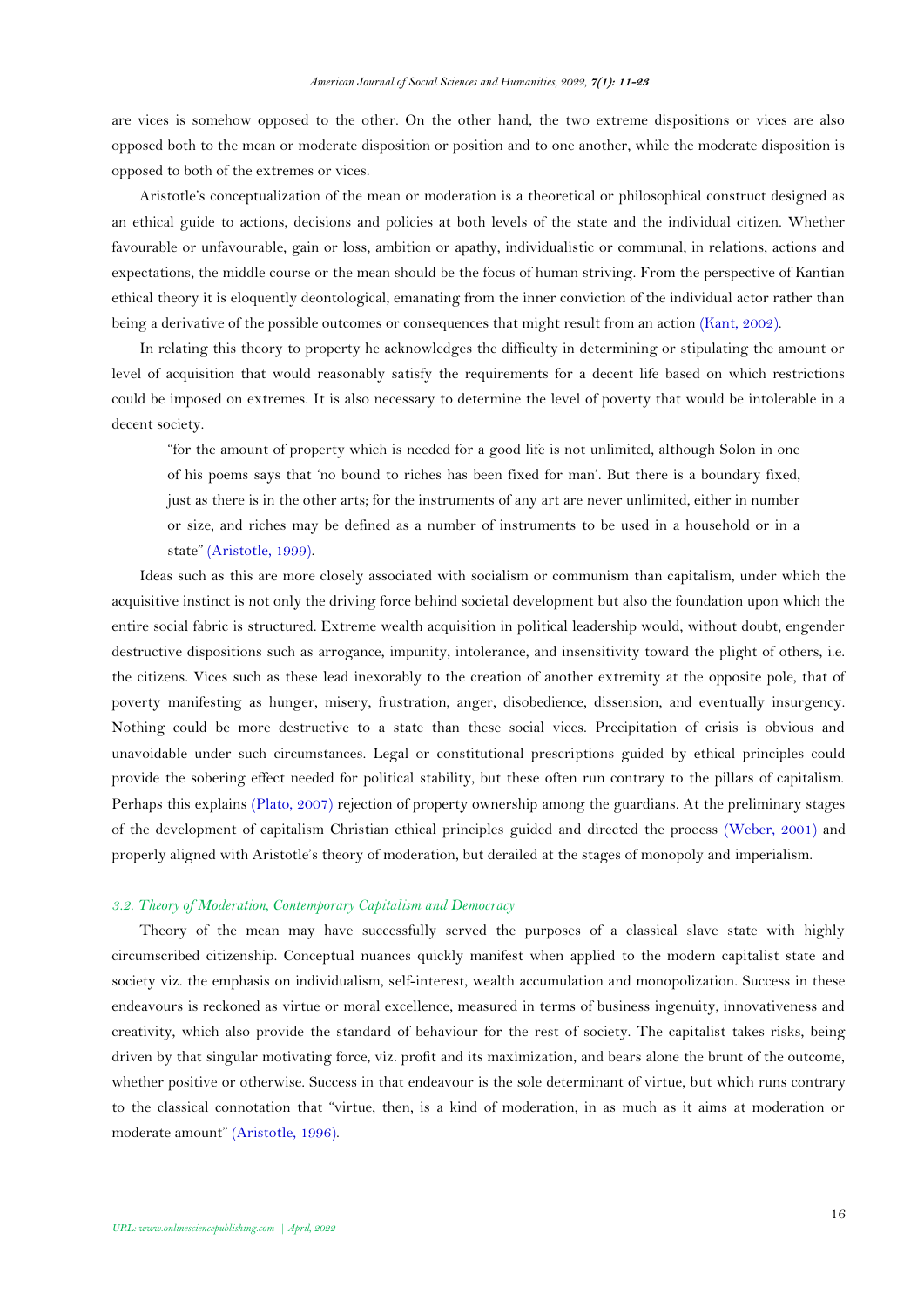are vices is somehow opposed to the other. On the other hand, the two extreme dispositions or vices are also opposed both to the mean or moderate disposition or position and to one another, while the moderate disposition is opposed to both of the extremes or vices.

Aristotle's conceptualization of the mean or moderation is a theoretical or philosophical construct designed as an ethical guide to actions, decisions and policies at both levels of the state and the individual citizen. Whether favourable or unfavourable, gain or loss, ambition or apathy, individualistic or communal, in relations, actions and expectations, the middle course or the mean should be the focus of human striving. From the perspective of Kantian ethical theory it is eloquently deontological, emanating from the inner conviction of the individual actor rather than being a derivative of the possible outcomes or consequences that might result from an action [\(Kant, 2002\)](#page-12-10).

In relating this theory to property he acknowledges the difficulty in determining or stipulating the amount or level of acquisition that would reasonably satisfy the requirements for a decent life based on which restrictions could be imposed on extremes. It is also necessary to determine the level of poverty that would be intolerable in a decent society.

"for the amount of property which is needed for a good life is not unlimited, although Solon in one of his poems says that 'no bound to riches has been fixed for man'. But there is a boundary fixed, just as there is in the other arts; for the instruments of any art are never unlimited, either in number or size, and riches may be defined as a number of instruments to be used in a household or in a state" [\(Aristotle, 1999\)](#page-11-0).

Ideas such as this are more closely associated with socialism or communism than capitalism, under which the acquisitive instinct is not only the driving force behind societal development but also the foundation upon which the entire social fabric is structured. Extreme wealth acquisition in political leadership would, without doubt, engender destructive dispositions such as arrogance, impunity, intolerance, and insensitivity toward the plight of others, i.e. the citizens. Vices such as these lead inexorably to the creation of another extremity at the opposite pole, that of poverty manifesting as hunger, misery, frustration, anger, disobedience, dissension, and eventually insurgency. Nothing could be more destructive to a state than these social vices. Precipitation of crisis is obvious and unavoidable under such circumstances. Legal or constitutional prescriptions guided by ethical principles could provide the sobering effect needed for political stability, but these often run contrary to the pillars of capitalism. Perhaps this explains [\(Plato, 2007\)](#page-12-9) rejection of property ownership among the guardians. At the preliminary stages of the development of capitalism Christian ethical principles guided and directed the process [\(Weber, 2001\)](#page-12-11) and properly aligned with Aristotle's theory of moderation, but derailed at the stages of monopoly and imperialism.

#### *3.2. Theory of Moderation, Contemporary Capitalism and Democracy*

Theory of the mean may have successfully served the purposes of a classical slave state with highly circumscribed citizenship. Conceptual nuances quickly manifest when applied to the modern capitalist state and society viz. the emphasis on individualism, self-interest, wealth accumulation and monopolization. Success in these endeavours is reckoned as virtue or moral excellence, measured in terms of business ingenuity, innovativeness and creativity, which also provide the standard of behaviour for the rest of society. The capitalist takes risks, being driven by that singular motivating force, viz. profit and its maximization, and bears alone the brunt of the outcome, whether positive or otherwise. Success in that endeavour is the sole determinant of virtue, but which runs contrary to the classical connotation that "virtue, then, is a kind of moderation, in as much as it aims at moderation or moderate amount" [\(Aristotle, 1996\)](#page-11-4).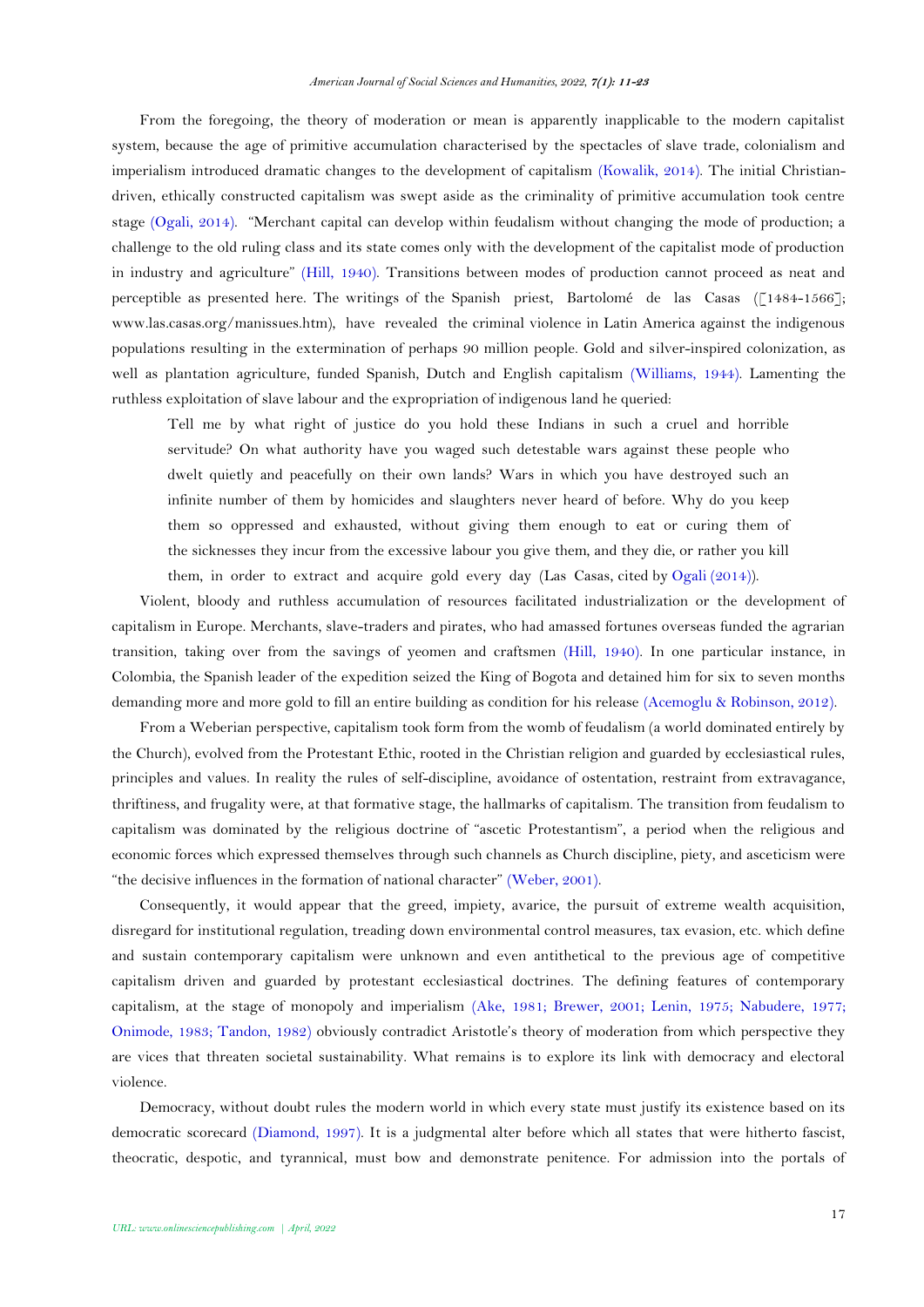From the foregoing, the theory of moderation or mean is apparently inapplicable to the modern capitalist system, because the age of primitive accumulation characterised by the spectacles of slave trade, colonialism and imperialism introduced dramatic changes to the development of capitalism [\(Kowalik, 2014\)](#page-12-4). The initial Christiandriven, ethically constructed capitalism was swept aside as the criminality of primitive accumulation took centre stage [\(Ogali, 2014\)](#page-12-12). "Merchant capital can develop within feudalism without changing the mode of production; a challenge to the old ruling class and its state comes only with the development of the capitalist mode of production in industry and agriculture" [\(Hill, 1940\)](#page-12-13). Transitions between modes of production cannot proceed as neat and perceptible as presented here. The writings of the Spanish priest, Bartolomé de las Casas ([1484-1566]; www.las.casas.org/manissues.htm), have revealed the criminal violence in Latin America against the indigenous populations resulting in the extermination of perhaps 90 million people. Gold and silver-inspired colonization, as well as plantation agriculture, funded Spanish, Dutch and English capitalism [\(Williams, 1944\)](#page-12-14). Lamenting the ruthless exploitation of slave labour and the expropriation of indigenous land he queried:

Tell me by what right of justice do you hold these Indians in such a cruel and horrible servitude? On what authority have you waged such detestable wars against these people who dwelt quietly and peacefully on their own lands? Wars in which you have destroyed such an infinite number of them by homicides and slaughters never heard of before. Why do you keep them so oppressed and exhausted, without giving them enough to eat or curing them of the sicknesses they incur from the excessive labour you give them, and they die, or rather you kill them, in order to extract and acquire gold every day (Las Casas, cited by [Ogali \(2014\)](#page-12-12)).

Violent, bloody and ruthless accumulation of resources facilitated industrialization or the development of capitalism in Europe. Merchants, slave-traders and pirates, who had amassed fortunes overseas funded the agrarian transition, taking over from the savings of yeomen and craftsmen [\(Hill, 1940\)](#page-12-13). In one particular instance, in Colombia, the Spanish leader of the expedition seized the King of Bogota and detained him for six to seven months demanding more and more gold to fill an entire building as condition for his release [\(Acemoglu & Robinson, 2012\)](#page-11-1).

From a Weberian perspective, capitalism took form from the womb of feudalism (a world dominated entirely by the Church), evolved from the Protestant Ethic, rooted in the Christian religion and guarded by ecclesiastical rules, principles and values. In reality the rules of self-discipline, avoidance of ostentation, restraint from extravagance, thriftiness, and frugality were, at that formative stage, the hallmarks of capitalism. The transition from feudalism to capitalism was dominated by the religious doctrine of "ascetic Protestantism", a period when the religious and economic forces which expressed themselves through such channels as Church discipline, piety, and asceticism were "the decisive influences in the formation of national character" [\(Weber, 2001\)](#page-12-11).

Consequently, it would appear that the greed, impiety, avarice, the pursuit of extreme wealth acquisition, disregard for institutional regulation, treading down environmental control measures, tax evasion, etc. which define and sustain contemporary capitalism were unknown and even antithetical to the previous age of competitive capitalism driven and guarded by protestant ecclesiastical doctrines. The defining features of contemporary capitalism, at the stage of monopoly and imperialism [\(Ake, 1981;](#page-11-7) [Brewer, 2001;](#page-12-15) [Lenin, 1975;](#page-12-3) [Nabudere, 1977;](#page-12-16) [Onimode, 1983;](#page-12-8) [Tandon, 1982\)](#page-12-17) obviously contradict Aristotle's theory of moderation from which perspective they are vices that threaten societal sustainability. What remains is to explore its link with democracy and electoral violence.

Democracy, without doubt rules the modern world in which every state must justify its existence based on its democratic scorecard [\(Diamond, 1997\)](#page-12-18). It is a judgmental alter before which all states that were hitherto fascist, theocratic, despotic, and tyrannical, must bow and demonstrate penitence. For admission into the portals of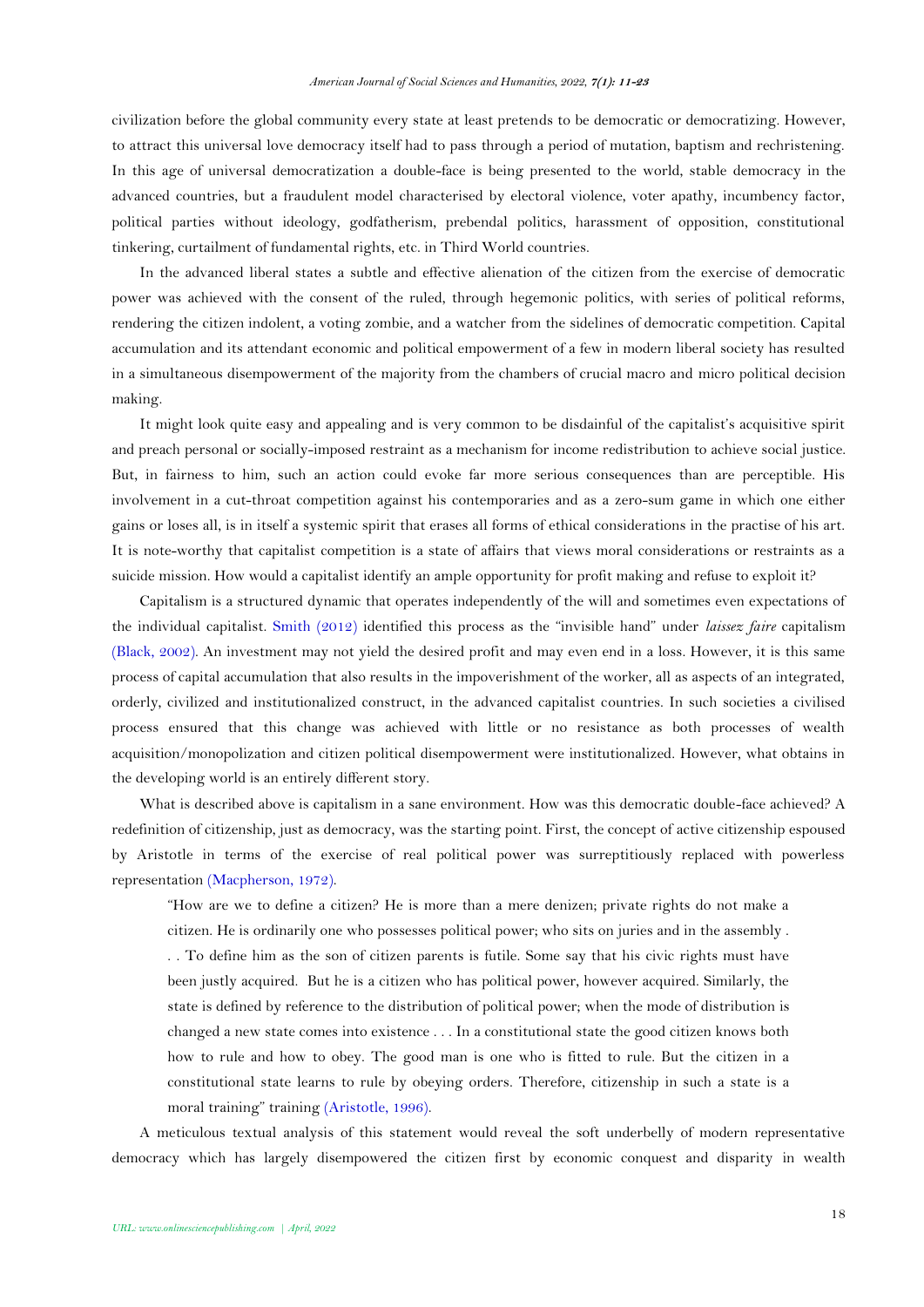civilization before the global community every state at least pretends to be democratic or democratizing. However, to attract this universal love democracy itself had to pass through a period of mutation, baptism and rechristening. In this age of universal democratization a double-face is being presented to the world, stable democracy in the advanced countries, but a fraudulent model characterised by electoral violence, voter apathy, incumbency factor, political parties without ideology, godfatherism, prebendal politics, harassment of opposition, constitutional tinkering, curtailment of fundamental rights, etc. in Third World countries.

In the advanced liberal states a subtle and effective alienation of the citizen from the exercise of democratic power was achieved with the consent of the ruled, through hegemonic politics, with series of political reforms, rendering the citizen indolent, a voting zombie, and a watcher from the sidelines of democratic competition. Capital accumulation and its attendant economic and political empowerment of a few in modern liberal society has resulted in a simultaneous disempowerment of the majority from the chambers of crucial macro and micro political decision making.

It might look quite easy and appealing and is very common to be disdainful of the capitalist's acquisitive spirit and preach personal or socially-imposed restraint as a mechanism for income redistribution to achieve social justice. But, in fairness to him, such an action could evoke far more serious consequences than are perceptible. His involvement in a cut-throat competition against his contemporaries and as a zero-sum game in which one either gains or loses all, is in itself a systemic spirit that erases all forms of ethical considerations in the practise of his art. It is note-worthy that capitalist competition is a state of affairs that views moral considerations or restraints as a suicide mission. How would a capitalist identify an ample opportunity for profit making and refuse to exploit it?

Capitalism is a structured dynamic that operates independently of the will and sometimes even expectations of the individual capitalist. [Smith \(2012\)](#page-12-19) identified this process as the "invisible hand" under *laissez faire* capitalism [\(Black, 2002\)](#page-12-20). An investment may not yield the desired profit and may even end in a loss. However, it is this same process of capital accumulation that also results in the impoverishment of the worker, all as aspects of an integrated, orderly, civilized and institutionalized construct, in the advanced capitalist countries. In such societies a civilised process ensured that this change was achieved with little or no resistance as both processes of wealth acquisition/monopolization and citizen political disempowerment were institutionalized. However, what obtains in the developing world is an entirely different story.

What is described above is capitalism in a sane environment. How was this democratic double-face achieved? A redefinition of citizenship, just as democracy, was the starting point. First, the concept of active citizenship espoused by Aristotle in terms of the exercise of real political power was surreptitiously replaced with powerless representation [\(Macpherson, 1972\)](#page-12-21).

"How are we to define a citizen? He is more than a mere denizen; private rights do not make a citizen. He is ordinarily one who possesses political power; who sits on juries and in the assembly . . . To define him as the son of citizen parents is futile. Some say that his civic rights must have been justly acquired. But he is a citizen who has political power, however acquired. Similarly, the state is defined by reference to the distribution of political power; when the mode of distribution is changed a new state comes into existence . . . In a constitutional state the good citizen knows both how to rule and how to obey. The good man is one who is fitted to rule. But the citizen in a constitutional state learns to rule by obeying orders. Therefore, citizenship in such a state is a moral training" training [\(Aristotle, 1996\)](#page-11-4).

A meticulous textual analysis of this statement would reveal the soft underbelly of modern representative democracy which has largely disempowered the citizen first by economic conquest and disparity in wealth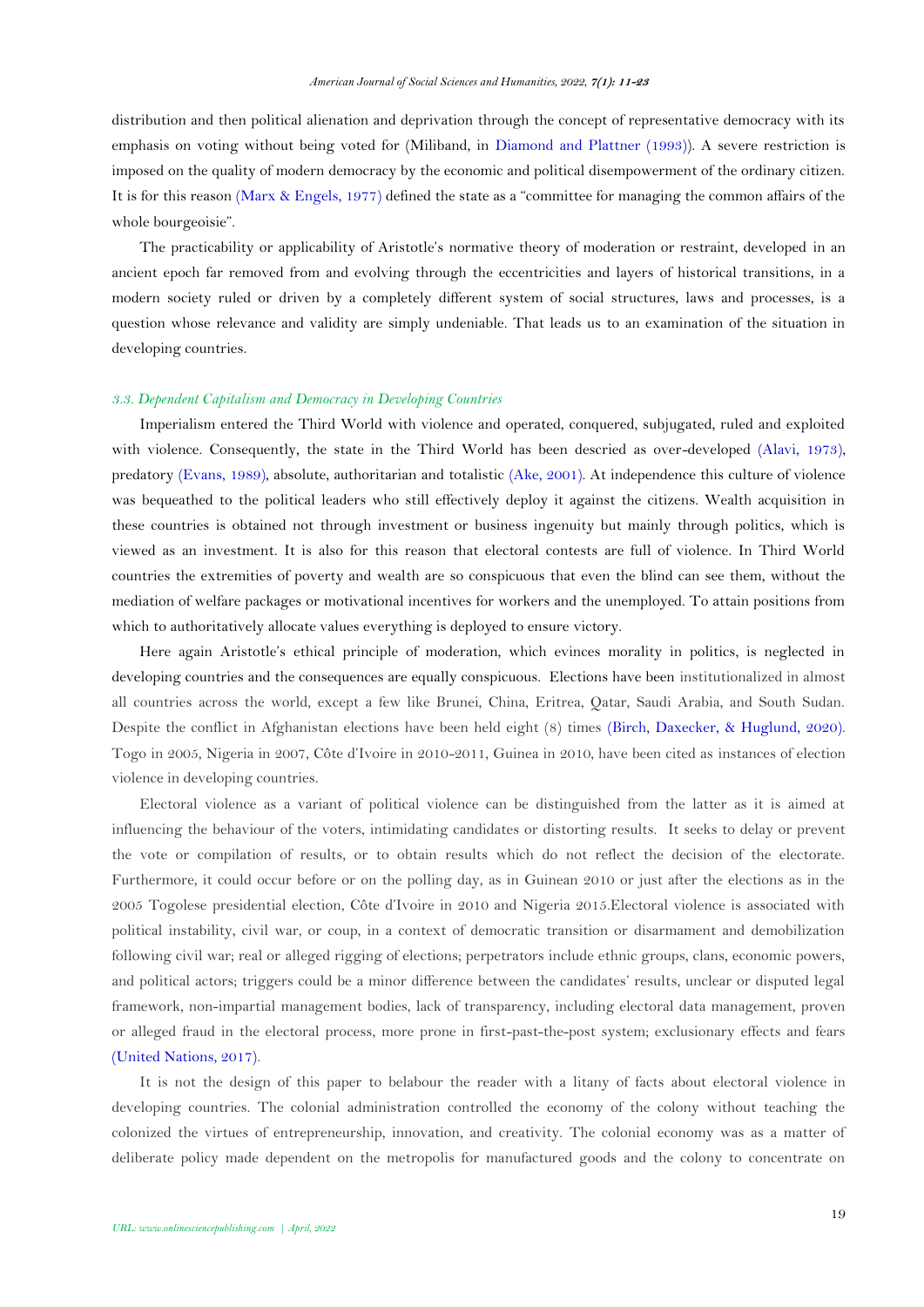distribution and then political alienation and deprivation through the concept of representative democracy with its emphasis on voting without being voted for (Miliband, in [Diamond and Plattner \(1993\)](#page-12-22)). A severe restriction is imposed on the quality of modern democracy by the economic and political disempowerment of the ordinary citizen. It is for this reason [\(Marx & Engels, 1977\)](#page-12-23) defined the state as a "committee for managing the common affairs of the whole bourgeoisie".

The practicability or applicability of Aristotle's normative theory of moderation or restraint, developed in an ancient epoch far removed from and evolving through the eccentricities and layers of historical transitions, in a modern society ruled or driven by a completely different system of social structures, laws and processes, is a question whose relevance and validity are simply undeniable. That leads us to an examination of the situation in developing countries.

## *3.3. Dependent Capitalism and Democracy in Developing Countries*

Imperialism entered the Third World with violence and operated, conquered, subjugated, ruled and exploited with violence. Consequently, the state in the Third World has been descried as over-developed [\(Alavi, 1973\)](#page-11-8), predatory [\(Evans, 1989\)](#page-12-24), absolute, authoritarian and totalistic (Ake, [2001\)](#page-11-3). At independence this culture of violence was bequeathed to the political leaders who still effectively deploy it against the citizens. Wealth acquisition in these countries is obtained not through investment or business ingenuity but mainly through politics, which is viewed as an investment. It is also for this reason that electoral contests are full of violence. In Third World countries the extremities of poverty and wealth are so conspicuous that even the blind can see them, without the mediation of welfare packages or motivational incentives for workers and the unemployed. To attain positions from which to authoritatively allocate values everything is deployed to ensure victory.

Here again Aristotle's ethical principle of moderation, which evinces morality in politics, is neglected in developing countries and the consequences are equally conspicuous. Elections have been institutionalized in almost all countries across the world, except a few like Brunei, China, Eritrea, Qatar, Saudi Arabia, and South Sudan. Despite the conflict in Afghanistan elections have been held eight (8) times [\(Birch, Daxecker, & Huglund, 2020\)](#page-12-25). Togo in 2005, Nigeria in 2007, Côte d'Ivoire in 2010-2011, Guinea in 2010, have been cited as instances of election violence in developing countries.

Electoral violence as a variant of political violence can be distinguished from the latter as it is aimed at influencing the behaviour of the voters, intimidating candidates or distorting results. It seeks to delay or prevent the vote or compilation of results, or to obtain results which do not reflect the decision of the electorate. Furthermore, it could occur before or on the polling day, as in Guinean 2010 or just after the elections as in the 2005 Togolese presidential election, Côte d'Ivoire in 2010 and Nigeria 2015.Electoral violence is associated with political instability, civil war, or coup, in a context of democratic transition or disarmament and demobilization following civil war; real or alleged rigging of elections; perpetrators include ethnic groups, clans, economic powers, and political actors; triggers could be a minor difference between the candidates' results, unclear or disputed legal framework, non-impartial management bodies, lack of transparency, including electoral data management, proven or alleged fraud in the electoral process, more prone in first-past-the-post system; exclusionary effects and fears [\(United Nations, 2017\)](#page-12-26).

It is not the design of this paper to belabour the reader with a litany of facts about electoral violence in developing countries. The colonial administration controlled the economy of the colony without teaching the colonized the virtues of entrepreneurship, innovation, and creativity. The colonial economy was as a matter of deliberate policy made dependent on the metropolis for manufactured goods and the colony to concentrate on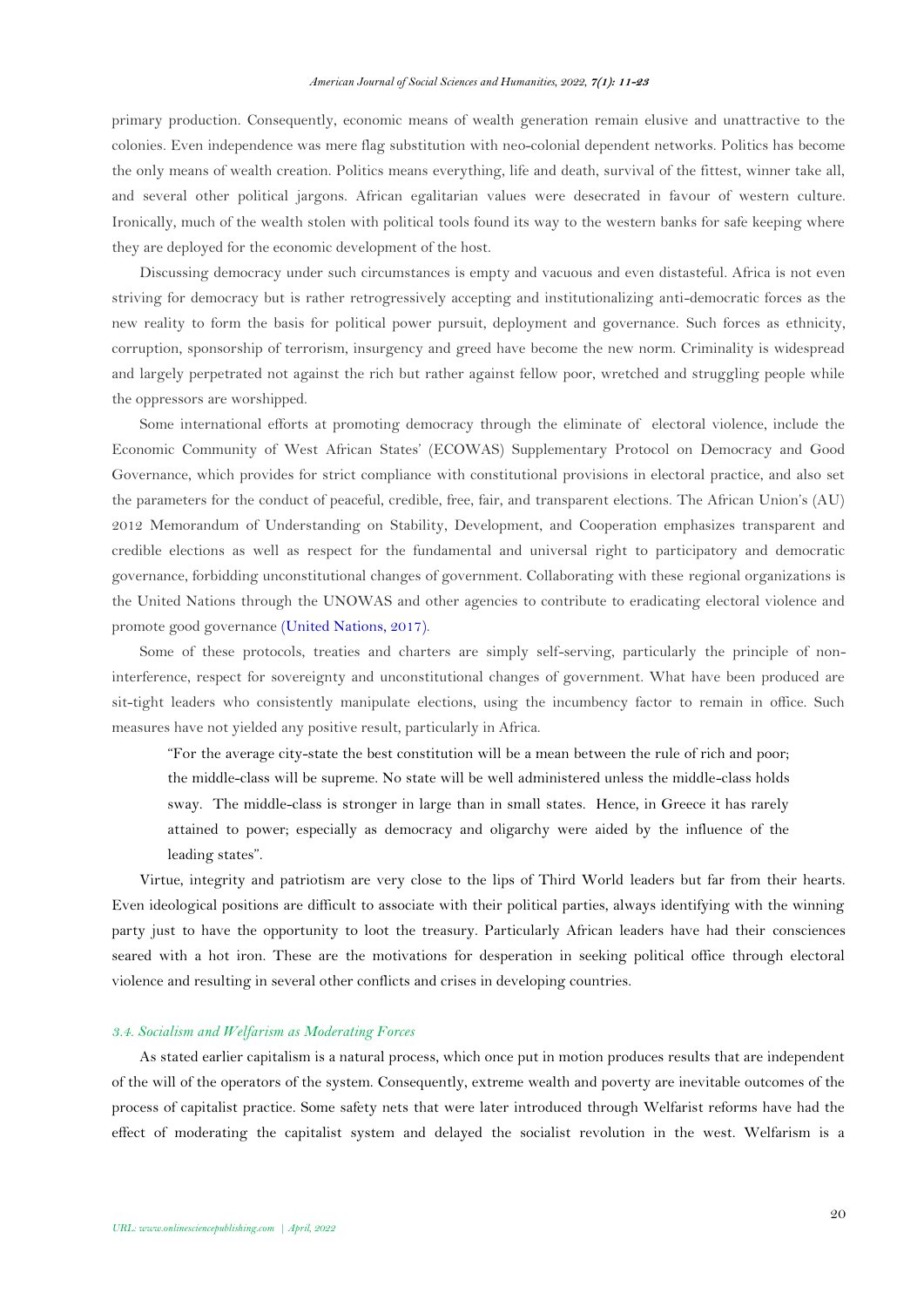primary production. Consequently, economic means of wealth generation remain elusive and unattractive to the colonies. Even independence was mere flag substitution with neo-colonial dependent networks. Politics has become the only means of wealth creation. Politics means everything, life and death, survival of the fittest, winner take all, and several other political jargons. African egalitarian values were desecrated in favour of western culture. Ironically, much of the wealth stolen with political tools found its way to the western banks for safe keeping where they are deployed for the economic development of the host.

Discussing democracy under such circumstances is empty and vacuous and even distasteful. Africa is not even striving for democracy but is rather retrogressively accepting and institutionalizing anti-democratic forces as the new reality to form the basis for political power pursuit, deployment and governance. Such forces as ethnicity, corruption, sponsorship of terrorism, insurgency and greed have become the new norm. Criminality is widespread and largely perpetrated not against the rich but rather against fellow poor, wretched and struggling people while the oppressors are worshipped.

Some international efforts at promoting democracy through the eliminate of electoral violence, include the Economic Community of West African States' (ECOWAS) Supplementary Protocol on Democracy and Good Governance, which provides for strict compliance with constitutional provisions in electoral practice, and also set the parameters for the conduct of peaceful, credible, free, fair, and transparent elections. The African Union's (AU) 2012 Memorandum of Understanding on Stability, Development, and Cooperation emphasizes transparent and credible elections as well as respect for the fundamental and universal right to participatory and democratic governance, forbidding unconstitutional changes of government. Collaborating with these regional organizations is the United Nations through the UNOWAS and other agencies to contribute to eradicating electoral violence and promote good governance [\(United Nations, 2017\)](#page-12-26).

Some of these protocols, treaties and charters are simply self-serving, particularly the principle of noninterference, respect for sovereignty and unconstitutional changes of government. What have been produced are sit-tight leaders who consistently manipulate elections, using the incumbency factor to remain in office. Such measures have not yielded any positive result, particularly in Africa.

"For the average city-state the best constitution will be a mean between the rule of rich and poor; the middle-class will be supreme. No state will be well administered unless the middle-class holds sway. The middle-class is stronger in large than in small states. Hence, in Greece it has rarely attained to power; especially as democracy and oligarchy were aided by the influence of the leading states".

Virtue, integrity and patriotism are very close to the lips of Third World leaders but far from their hearts. Even ideological positions are difficult to associate with their political parties, always identifying with the winning party just to have the opportunity to loot the treasury. Particularly African leaders have had their consciences seared with a hot iron. These are the motivations for desperation in seeking political office through electoral violence and resulting in several other conflicts and crises in developing countries.

### *3.4. Socialism and Welfarism as Moderating Forces*

As stated earlier capitalism is a natural process, which once put in motion produces results that are independent of the will of the operators of the system. Consequently, extreme wealth and poverty are inevitable outcomes of the process of capitalist practice. Some safety nets that were later introduced through Welfarist reforms have had the effect of moderating the capitalist system and delayed the socialist revolution in the west. Welfarism is a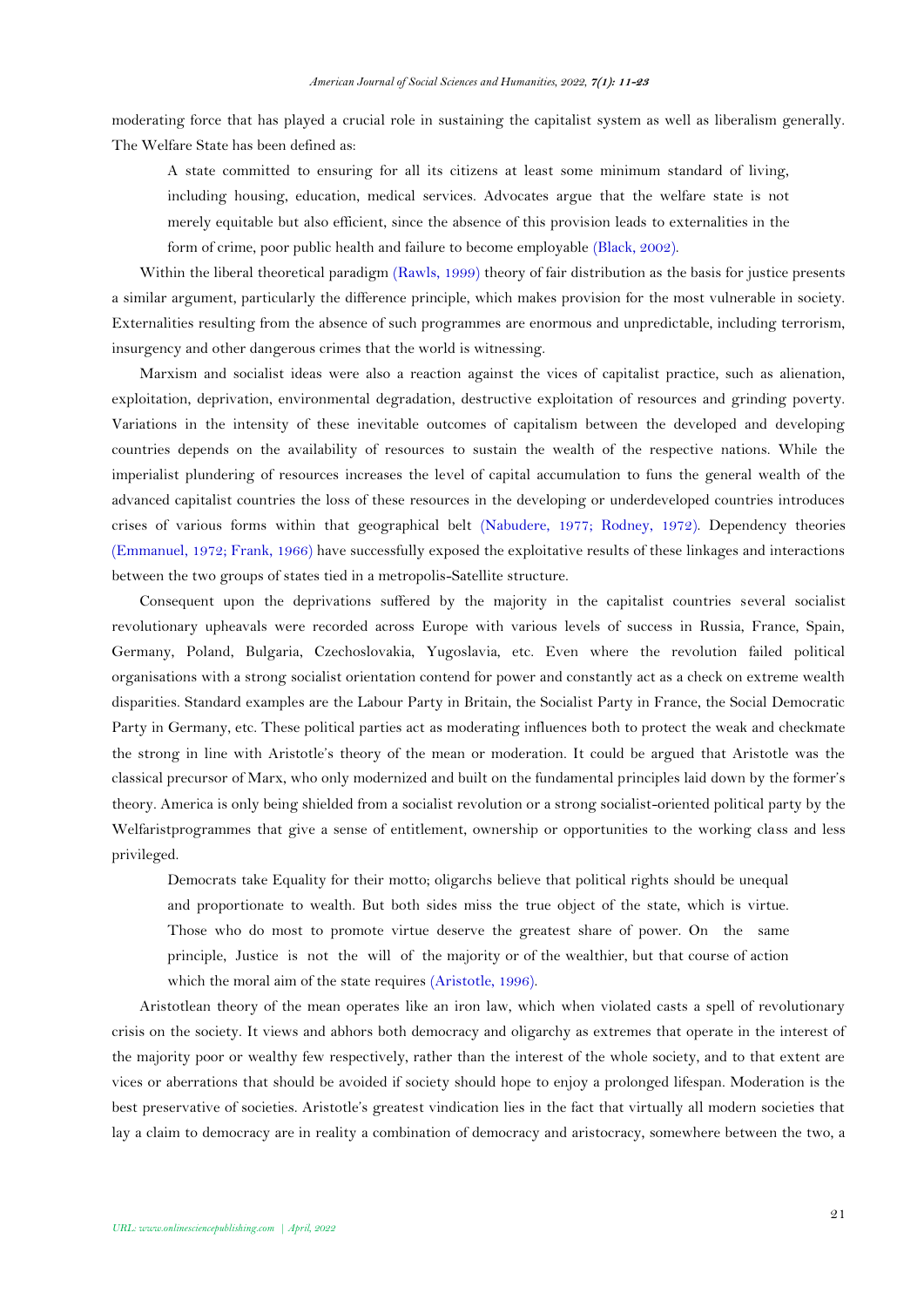moderating force that has played a crucial role in sustaining the capitalist system as well as liberalism generally. The Welfare State has been defined as:

A state committed to ensuring for all its citizens at least some minimum standard of living, including housing, education, medical services. Advocates argue that the welfare state is not merely equitable but also efficient, since the absence of this provision leads to externalities in the form of crime, poor public health and failure to become employable [\(Black, 2002\)](#page-12-20).

Within the liberal theoretical paradigm [\(Rawls, 1999\)](#page-12-27) theory of fair distribution as the basis for justice presents a similar argument, particularly the difference principle, which makes provision for the most vulnerable in society. Externalities resulting from the absence of such programmes are enormous and unpredictable, including terrorism, insurgency and other dangerous crimes that the world is witnessing.

Marxism and socialist ideas were also a reaction against the vices of capitalist practice, such as alienation, exploitation, deprivation, environmental degradation, destructive exploitation of resources and grinding poverty. Variations in the intensity of these inevitable outcomes of capitalism between the developed and developing countries depends on the availability of resources to sustain the wealth of the respective nations. While the imperialist plundering of resources increases the level of capital accumulation to funs the general wealth of the advanced capitalist countries the loss of these resources in the developing or underdeveloped countries introduces crises of various forms within that geographical belt [\(Nabudere, 1977;](#page-12-16) [Rodney, 1972\)](#page-12-7). Dependency theories [\(Emmanuel, 1972;](#page-12-28) [Frank, 1966\)](#page-12-29) have successfully exposed the exploitative results of these linkages and interactions between the two groups of states tied in a metropolis-Satellite structure.

Consequent upon the deprivations suffered by the majority in the capitalist countries several socialist revolutionary upheavals were recorded across Europe with various levels of success in Russia, France, Spain, Germany, Poland, Bulgaria, Czechoslovakia, Yugoslavia, etc. Even where the revolution failed political organisations with a strong socialist orientation contend for power and constantly act as a check on extreme wealth disparities. Standard examples are the Labour Party in Britain, the Socialist Party in France, the Social Democratic Party in Germany, etc. These political parties act as moderating influences both to protect the weak and checkmate the strong in line with Aristotle's theory of the mean or moderation. It could be argued that Aristotle was the classical precursor of Marx, who only modernized and built on the fundamental principles laid down by the former's theory. America is only being shielded from a socialist revolution or a strong socialist-oriented political party by the Welfaristprogrammes that give a sense of entitlement, ownership or opportunities to the working class and less privileged.

Democrats take Equality for their motto; oligarchs believe that political rights should be unequal and proportionate to wealth. But both sides miss the true object of the state, which is virtue. Those who do most to promote virtue deserve the greatest share of power. On the same principle, Justice is not the will of the majority or of the wealthier, but that course of action which the moral aim of the state requires [\(Aristotle, 1996\)](#page-11-4).

Aristotlean theory of the mean operates like an iron law, which when violated casts a spell of revolutionary crisis on the society. It views and abhors both democracy and oligarchy as extremes that operate in the interest of the majority poor or wealthy few respectively, rather than the interest of the whole society, and to that extent are vices or aberrations that should be avoided if society should hope to enjoy a prolonged lifespan. Moderation is the best preservative of societies. Aristotle's greatest vindication lies in the fact that virtually all modern societies that lay a claim to democracy are in reality a combination of democracy and aristocracy, somewhere between the two, a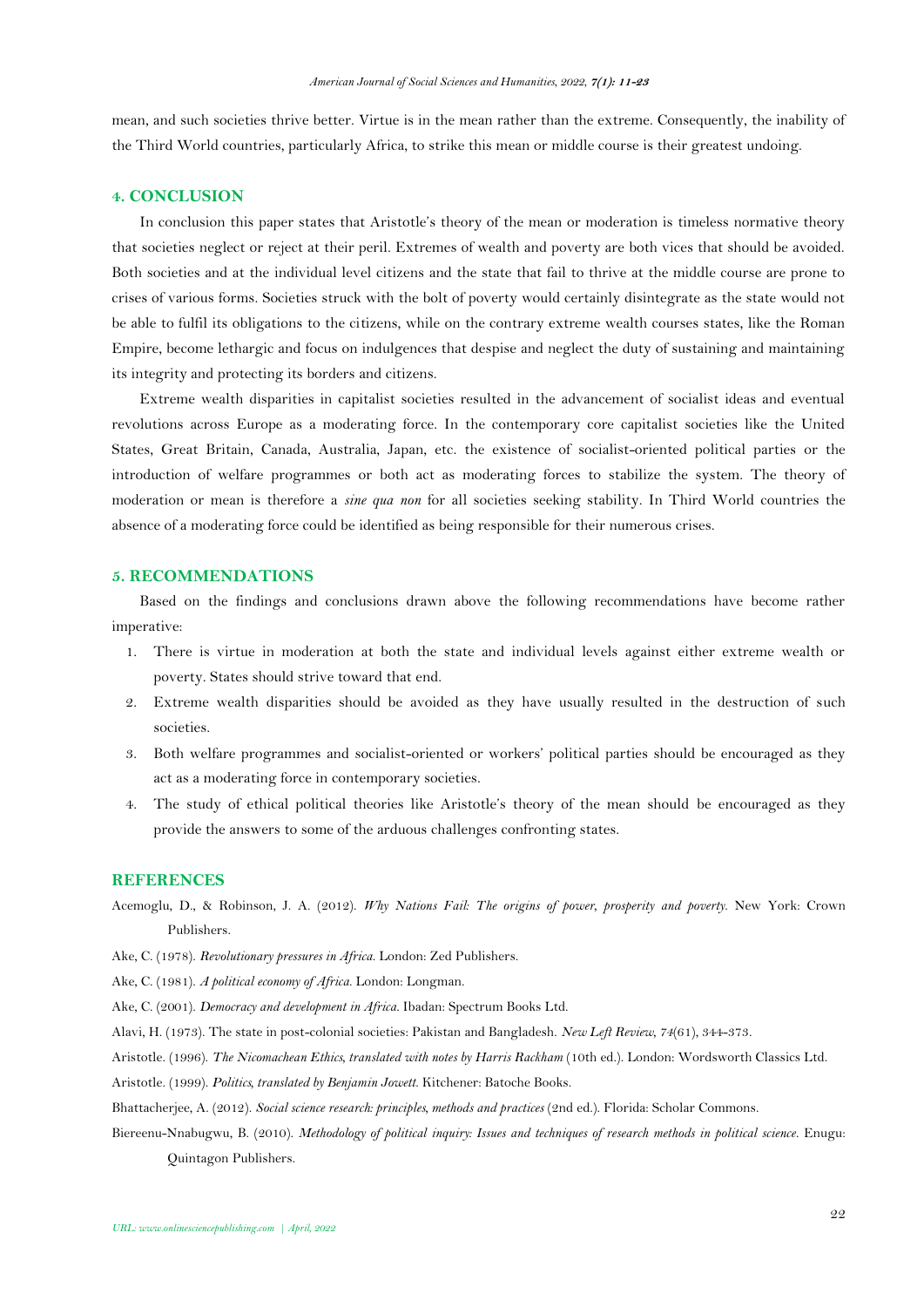mean, and such societies thrive better. Virtue is in the mean rather than the extreme. Consequently, the inability of the Third World countries, particularly Africa, to strike this mean or middle course is their greatest undoing.

# **4. CONCLUSION**

In conclusion this paper states that Aristotle's theory of the mean or moderation is timeless normative theory that societies neglect or reject at their peril. Extremes of wealth and poverty are both vices that should be avoided. Both societies and at the individual level citizens and the state that fail to thrive at the middle course are prone to crises of various forms. Societies struck with the bolt of poverty would certainly disintegrate as the state would not be able to fulfil its obligations to the citizens, while on the contrary extreme wealth courses states, like the Roman Empire, become lethargic and focus on indulgences that despise and neglect the duty of sustaining and maintaining its integrity and protecting its borders and citizens.

Extreme wealth disparities in capitalist societies resulted in the advancement of socialist ideas and eventual revolutions across Europe as a moderating force. In the contemporary core capitalist societies like the United States, Great Britain, Canada, Australia, Japan, etc. the existence of socialist-oriented political parties or the introduction of welfare programmes or both act as moderating forces to stabilize the system. The theory of moderation or mean is therefore a *sine qua non* for all societies seeking stability. In Third World countries the absence of a moderating force could be identified as being responsible for their numerous crises.

## **5. RECOMMENDATIONS**

Based on the findings and conclusions drawn above the following recommendations have become rather imperative:

- 1. There is virtue in moderation at both the state and individual levels against either extreme wealth or poverty. States should strive toward that end.
- 2. Extreme wealth disparities should be avoided as they have usually resulted in the destruction of such societies.
- 3. Both welfare programmes and socialist-oriented or workers' political parties should be encouraged as they act as a moderating force in contemporary societies.
- 4. The study of ethical political theories like Aristotle's theory of the mean should be encouraged as they provide the answers to some of the arduous challenges confronting states.

## **REFERENCES**

- <span id="page-11-1"></span>Acemoglu, D., & Robinson, J. A. (2012). *Why Nations Fail: The origins of power, prosperity and poverty*. New York: Crown Publishers.
- <span id="page-11-2"></span>Ake, C. (1978). *Revolutionary pressures in Africa*. London: Zed Publishers.
- <span id="page-11-7"></span>Ake, C. (1981). *A political economy of Africa*. London: Longman.
- <span id="page-11-3"></span>Ake, C. (2001). *Democracy and development in Africa*. Ibadan: Spectrum Books Ltd.
- <span id="page-11-8"></span>Alavi, H. (1973). The state in post-colonial societies: Pakistan and Bangladesh. *New Left Review, 74*(61), 344-373.
- <span id="page-11-4"></span>Aristotle. (1996). *The Nicomachean Ethics, translated with notes by Harris Rackham* (10th ed.). London: Wordsworth Classics Ltd.
- <span id="page-11-0"></span>Aristotle. (1999). *Politics, translated by Benjamin Jowett*. Kitchener: Batoche Books.
- <span id="page-11-6"></span>Bhattacherjee, A. (2012). *Social science research: principles, methods and practices* (2nd ed.). Florida: Scholar Commons.
- <span id="page-11-5"></span>Biereenu-Nnabugwu, B. (2010). *Methodology of political inquiry: Issues and techniques of research methods in political science*. Enugu: Quintagon Publishers.